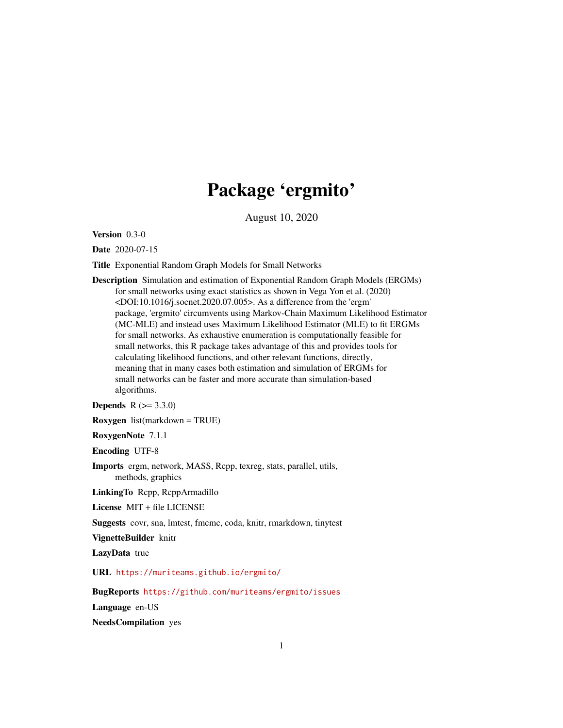## Package 'ergmito'

August 10, 2020

<span id="page-0-0"></span>Version 0.3-0

Date 2020-07-15

Title Exponential Random Graph Models for Small Networks

Description Simulation and estimation of Exponential Random Graph Models (ERGMs) for small networks using exact statistics as shown in Vega Yon et al. (2020) <DOI:10.1016/j.socnet.2020.07.005>. As a difference from the 'ergm' package, 'ergmito' circumvents using Markov-Chain Maximum Likelihood Estimator (MC-MLE) and instead uses Maximum Likelihood Estimator (MLE) to fit ERGMs for small networks. As exhaustive enumeration is computationally feasible for small networks, this R package takes advantage of this and provides tools for calculating likelihood functions, and other relevant functions, directly, meaning that in many cases both estimation and simulation of ERGMs for small networks can be faster and more accurate than simulation-based algorithms.

**Depends**  $R (= 3.3.0)$ 

Roxygen list(markdown = TRUE)

RoxygenNote 7.1.1

Encoding UTF-8

Imports ergm, network, MASS, Rcpp, texreg, stats, parallel, utils, methods, graphics

LinkingTo Rcpp, RcppArmadillo

License MIT + file LICENSE

Suggests covr, sna, lmtest, fmcmc, coda, knitr, rmarkdown, tinytest

VignetteBuilder knitr

LazyData true

URL <https://muriteams.github.io/ergmito/>

BugReports <https://github.com/muriteams/ergmito/issues>

Language en-US

NeedsCompilation yes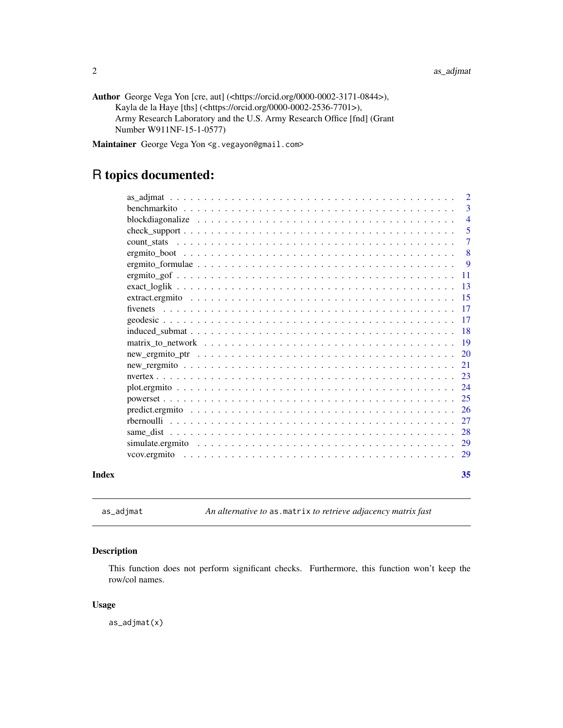<span id="page-1-0"></span>

| Author George Vega Yon [cre, aut] $\langle$ https://orcid.org/0000-0002-3171-0844>), |
|--------------------------------------------------------------------------------------|
| Kayla de la Haye [ths] ( <https: 0000-0002-2536-7701="" orcid.org="">),</https:>     |
| Army Research Laboratory and the U.S. Army Research Office [fnd] (Grant              |
| Number W911NF-15-1-0577)                                                             |

Maintainer George Vega Yon <g.vegayon@gmail.com>

### R topics documented:

|                                                                                                                | 29                  |
|----------------------------------------------------------------------------------------------------------------|---------------------|
|                                                                                                                | 29                  |
|                                                                                                                | 28                  |
|                                                                                                                | 27                  |
|                                                                                                                | 26                  |
|                                                                                                                | 25                  |
|                                                                                                                | 24                  |
|                                                                                                                | -23                 |
|                                                                                                                | 21                  |
| $new\_ergmito\_ptr \dots \dots \dots \dots \dots \dots \dots \dots \dots \dots \dots \dots \dots \dots \dots$  | <b>20</b>           |
| matrix to network $\ldots \ldots \ldots \ldots \ldots \ldots \ldots \ldots \ldots \ldots \ldots \ldots \ldots$ | -19                 |
|                                                                                                                | -18                 |
|                                                                                                                | -17                 |
|                                                                                                                | 17                  |
|                                                                                                                | 15                  |
|                                                                                                                | -13                 |
|                                                                                                                | -11                 |
|                                                                                                                | 8<br>-9             |
|                                                                                                                |                     |
|                                                                                                                | 5<br>$\overline{7}$ |
| blockdiagonalize $\ldots \ldots \ldots \ldots \ldots \ldots \ldots \ldots \ldots \ldots \ldots \ldots \ldots$  | $\overline{4}$      |
|                                                                                                                | 3                   |
|                                                                                                                | $\overline{2}$      |
|                                                                                                                |                     |

as\_adjmat *An alternative to* as.matrix *to retrieve adjacency matrix fast*

#### Description

This function does not perform significant checks. Furthermore, this function won't keep the row/col names.

#### Usage

as\_adjmat(x)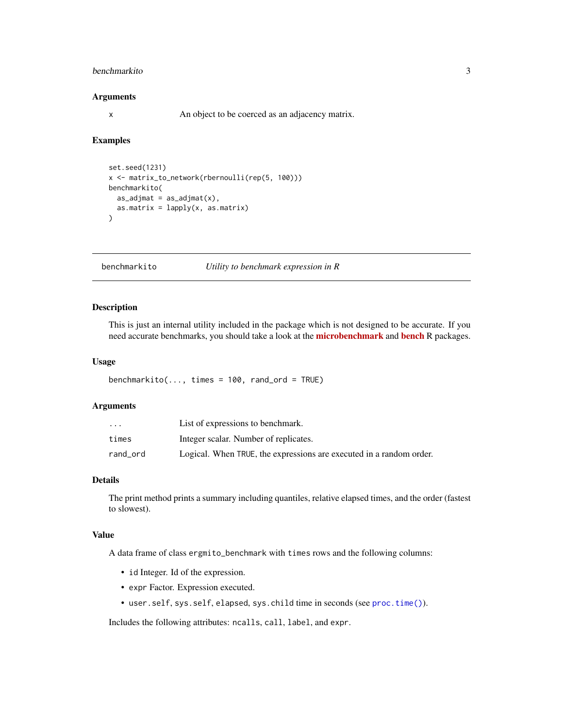#### <span id="page-2-0"></span>benchmarkito 3

#### Arguments

x An object to be coerced as an adjacency matrix.

#### Examples

```
set.seed(1231)
x <- matrix_to_network(rbernoulli(rep(5, 100)))
benchmarkito(
  as\_adjmat = as\_adjmat(x),
  as.matrix = lapply(x, as.matrix)\mathcal{L}
```
benchmarkito *Utility to benchmark expression in R*

#### Description

This is just an internal utility included in the package which is not designed to be accurate. If you need accurate [bench](https://CRAN.R-project.org/package=bench)marks, you should take a look at the **[microbenchmark](https://CRAN.R-project.org/package=microbenchmark)** and **bench** R packages.

#### Usage

benchmarkito $(..., times = 100, rand_{ord} = TRUE)$ 

#### Arguments

| $\cdot$ $\cdot$ $\cdot$ | List of expressions to benchmark.                                   |
|-------------------------|---------------------------------------------------------------------|
| times                   | Integer scalar. Number of replicates.                               |
| rand_ord                | Logical. When TRUE, the expressions are executed in a random order. |

#### Details

The print method prints a summary including quantiles, relative elapsed times, and the order (fastest to slowest).

#### Value

A data frame of class ergmito\_benchmark with times rows and the following columns:

- id Integer. Id of the expression.
- expr Factor. Expression executed.
- user.self, sys.self, elapsed, sys.child time in seconds (see [proc.time\(\)](#page-0-0)).

Includes the following attributes: ncalls, call, label, and expr.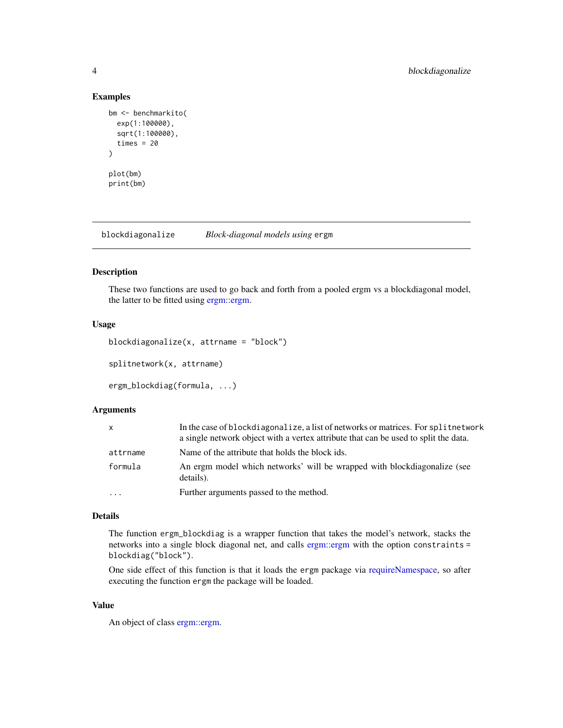#### Examples

```
bm <- benchmarkito(
  exp(1:100000),
  sqrt(1:100000),
  times = 20\mathcal{L}plot(bm)
print(bm)
```
blockdiagonalize *Block-diagonal models using* ergm

#### Description

These two functions are used to go back and forth from a pooled ergm vs a blockdiagonal model, the latter to be fitted using [ergm::ergm.](#page-0-0)

#### Usage

```
blockdiagonalize(x, attrname = "block")
```
splitnetwork(x, attrname)

ergm\_blockdiag(formula, ...)

#### Arguments

| X        | In the case of blockdiagonalize, a list of networks or matrices. For split network<br>a single network object with a vertex attribute that can be used to split the data. |
|----------|---------------------------------------------------------------------------------------------------------------------------------------------------------------------------|
| attrname | Name of the attribute that holds the block ids.                                                                                                                           |
| formula  | An ergm model which networks' will be wrapped with blockdiagonalize (see<br>details).                                                                                     |
| $\cdot$  | Further arguments passed to the method.                                                                                                                                   |

#### Details

The function ergm\_blockdiag is a wrapper function that takes the model's network, stacks the networks into a single block diagonal net, and calls [ergm::ergm](#page-0-0) with the option constraints = blockdiag("block").

One side effect of this function is that it loads the ergm package via [requireNamespace,](#page-0-0) so after executing the function ergm the package will be loaded.

#### Value

An object of class [ergm::ergm.](#page-0-0)

<span id="page-3-0"></span>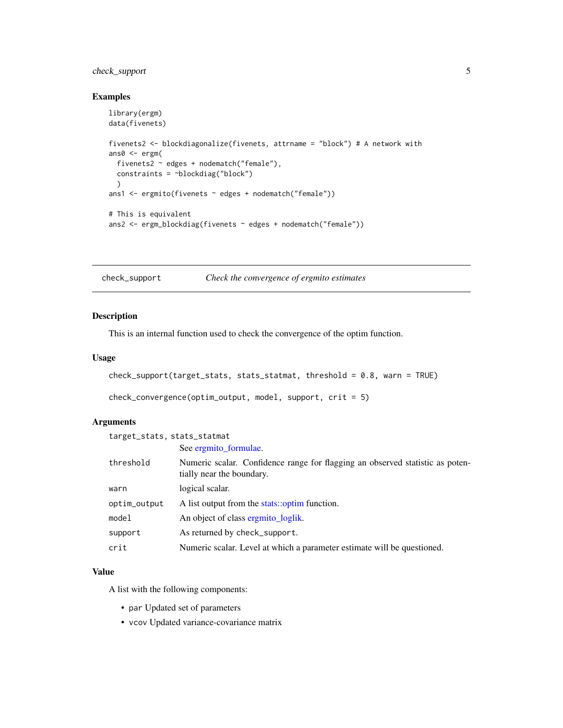#### <span id="page-4-0"></span>check\_support 5

#### Examples

```
library(ergm)
data(fivenets)
fivenets2 <- blockdiagonalize(fivenets, attrname = "block") # A network with
ans0 <- ergm(
  fivenets2 ~ edges + nodematch("female"),
  constraints = ~blockdiag("block")
  )
ans1 <- ergmito(fivenets ~ edges + nodematch("female"))
# This is equivalent
ans2 <- ergm_blockdiag(fivenets ~ edges + nodematch("female"))
```
check\_support *Check the convergence of ergmito estimates*

#### <span id="page-4-1"></span>Description

This is an internal function used to check the convergence of the optim function.

#### Usage

```
check_support(target_stats, stats_statmat, threshold = 0.8, warn = TRUE)
```

```
check_convergence(optim_output, model, support, crit = 5)
```
#### Arguments

target\_stats, stats\_statmat See [ergmito\\_formulae.](#page-8-1)

| threshold    | Numeric scalar. Confidence range for flagging an observed statistic as poten-<br>tially near the boundary. |
|--------------|------------------------------------------------------------------------------------------------------------|
| warn         | logical scalar.                                                                                            |
| optim_output | A list output from the stats::optim function.                                                              |
| model        | An object of class ergmito loglik.                                                                         |
| support      | As returned by check_support.                                                                              |
| crit         | Numeric scalar. Level at which a parameter estimate will be questioned.                                    |

#### Value

A list with the following components:

- par Updated set of parameters
- vcov Updated variance-covariance matrix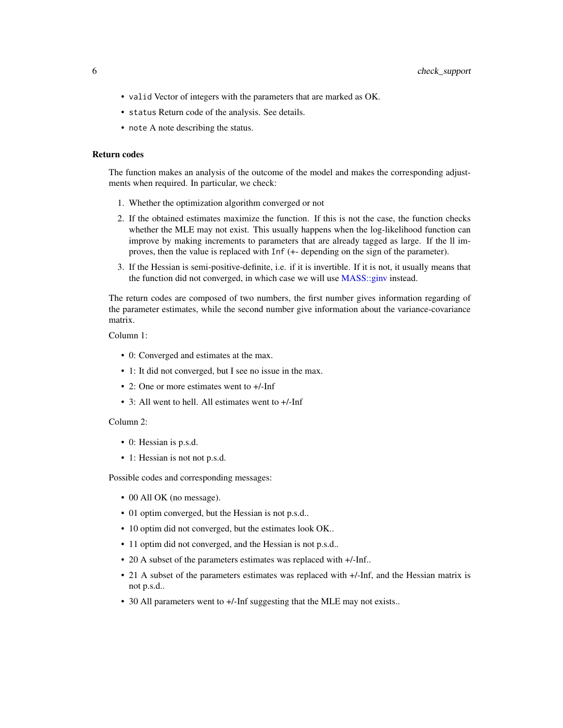- <span id="page-5-0"></span>• valid Vector of integers with the parameters that are marked as OK.
- status Return code of the analysis. See details.
- note A note describing the status.

#### Return codes

The function makes an analysis of the outcome of the model and makes the corresponding adjustments when required. In particular, we check:

- 1. Whether the optimization algorithm converged or not
- 2. If the obtained estimates maximize the function. If this is not the case, the function checks whether the MLE may not exist. This usually happens when the log-likelihood function can improve by making increments to parameters that are already tagged as large. If the ll improves, then the value is replaced with Inf (+- depending on the sign of the parameter).
- 3. If the Hessian is semi-positive-definite, i.e. if it is invertible. If it is not, it usually means that the function did not converged, in which case we will use [MASS::ginv](#page-0-0) instead.

The return codes are composed of two numbers, the first number gives information regarding of the parameter estimates, while the second number give information about the variance-covariance matrix.

Column 1:

- 0: Converged and estimates at the max.
- 1: It did not converged, but I see no issue in the max.
- 2: One or more estimates went to  $+/-$ Inf
- 3: All went to hell. All estimates went to +/-Inf

#### Column 2:

- 0: Hessian is p.s.d.
- 1: Hessian is not not p.s.d.

Possible codes and corresponding messages:

- 00 All OK (no message).
- 01 optim converged, but the Hessian is not p.s.d..
- 10 optim did not converged, but the estimates look OK..
- 11 optim did not converged, and the Hessian is not p.s.d..
- 20 A subset of the parameters estimates was replaced with +/-Inf..
- 21 A subset of the parameters estimates was replaced with  $+/-$ Inf, and the Hessian matrix is not p.s.d..
- 30 All parameters went to +/-Inf suggesting that the MLE may not exists..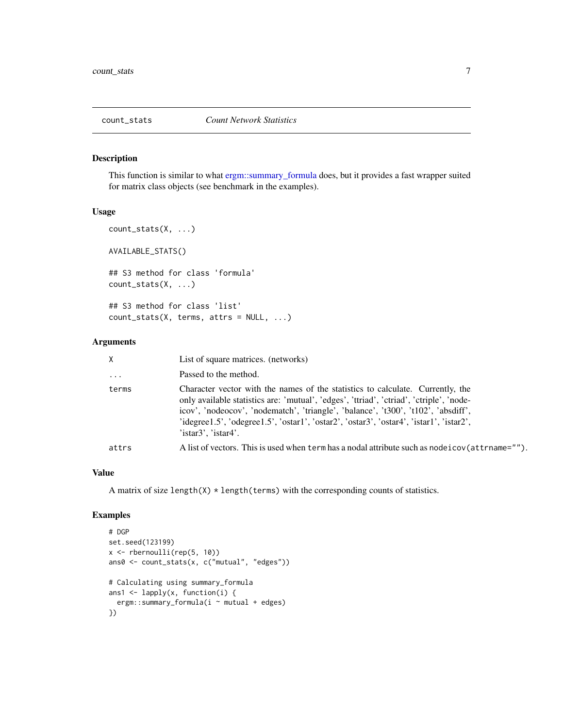<span id="page-6-0"></span>

#### Description

This function is similar to what [ergm::summary\\_formula](#page-0-0) does, but it provides a fast wrapper suited for matrix class objects (see benchmark in the examples).

#### Usage

```
count_stats(X, ...)
AVAILABLE_STATS()
## S3 method for class 'formula'
count_stats(X, ...)
## S3 method for class 'list'
count_stats(X, terms, attrs = NULL, ...)
```
#### Arguments

| X.       | List of square matrices. (networks)                                                                                                                                                                                                                                                                                                                                                 |
|----------|-------------------------------------------------------------------------------------------------------------------------------------------------------------------------------------------------------------------------------------------------------------------------------------------------------------------------------------------------------------------------------------|
| $\cdots$ | Passed to the method.                                                                                                                                                                                                                                                                                                                                                               |
| terms    | Character vector with the names of the statistics to calculate. Currently, the<br>only available statistics are: 'mutual', 'edges', 'ttriad', 'ctriad', 'ctriple', 'node-<br>icov', 'nodeocov', 'nodematch', 'triangle', 'balance', 't300', 't102', 'absdiff',<br>'idegree1.5', 'odegree1.5', 'ostar1', 'ostar2', 'ostar3', 'ostar4', 'istar1', 'istar2',<br>$'$ istar3', 'istar4'. |
| attrs    | A list of vectors. This is used when term has a nodal attribute such as node i cov(attrname="").                                                                                                                                                                                                                                                                                    |

#### Value

A matrix of size length( $X$ )  $*$  length(terms) with the corresponding counts of statistics.

```
# DGP
set.seed(123199)
x \leftarrow rbernoulli(rep(5, 10))
ans0 <- count_stats(x, c("mutual", "edges"))
# Calculating using summary_formula
ans1 <- lapply(x, function(i) {
  ergm::summary_formula(i ~ mutual + edges)
})
```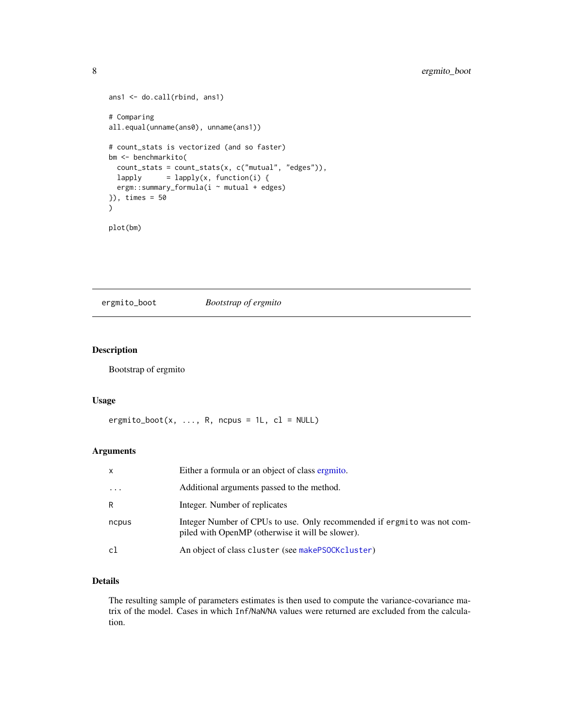```
ans1 <- do.call(rbind, ans1)
# Comparing
all.equal(unname(ans0), unname(ans1))
# count_stats is vectorized (and so faster)
bm <- benchmarkito(
  count_stats = count_stats(x, c("mutual", "edges")),
 lapply = lapply(x, function(i) {
  ergm::summary_formula(i ~ mutual + edges)
}), times = 50
\lambdaplot(bm)
```
ergmito\_boot *Bootstrap of ergmito*

#### Description

Bootstrap of ergmito

#### Usage

```
ergmito_boot(x, ..., R, ncpus = 1L, cl = NULL)
```
#### Arguments

| x        | Either a formula or an object of class ergmito.                                                                             |
|----------|-----------------------------------------------------------------------------------------------------------------------------|
| $\cdots$ | Additional arguments passed to the method.                                                                                  |
| R        | Integer. Number of replicates                                                                                               |
| ncpus    | Integer Number of CPUs to use. Only recommended if ergmito was not com-<br>piled with OpenMP (otherwise it will be slower). |
| cl       | An object of class cluster (see makePSOCKcluster)                                                                           |

#### Details

The resulting sample of parameters estimates is then used to compute the variance-covariance matrix of the model. Cases in which Inf/NaN/NA values were returned are excluded from the calculation.

<span id="page-7-0"></span>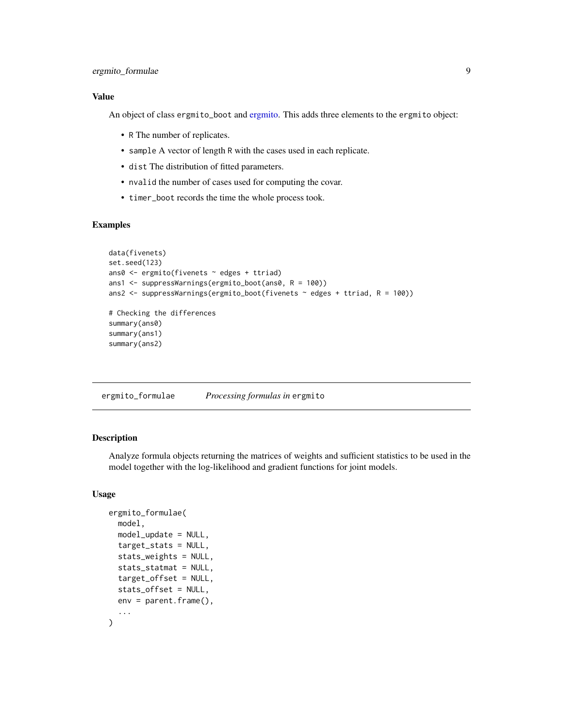#### <span id="page-8-0"></span>Value

An object of class ergmito\_boot and [ergmito.](#page-28-1) This adds three elements to the ergmito object:

- R The number of replicates.
- sample A vector of length R with the cases used in each replicate.
- dist The distribution of fitted parameters.
- nvalid the number of cases used for computing the covar.
- timer\_boot records the time the whole process took.

#### Examples

```
data(fivenets)
set.seed(123)
ans0 <- ergmito(fivenets ~ edges + ttriad)
ans1 <- suppressWarnings(ergmito_boot(ans0, R = 100))
ans2 <- suppressWarnings(ergmito_boot(fivenets \sim edges + ttriad, R = 100))
# Checking the differences
summary(ans0)
summary(ans1)
summary(ans2)
```
<span id="page-8-1"></span>ergmito\_formulae *Processing formulas in* ergmito

#### <span id="page-8-2"></span>Description

Analyze formula objects returning the matrices of weights and sufficient statistics to be used in the model together with the log-likelihood and gradient functions for joint models.

#### Usage

```
ergmito_formulae(
 model,
 model_update = NULL,
  target_stats = NULL,
  stats_weights = NULL,
  stats_statmat = NULL,
  target_offset = NULL,
  stats_offset = NULL,
 env = parent.Fname(),...
)
```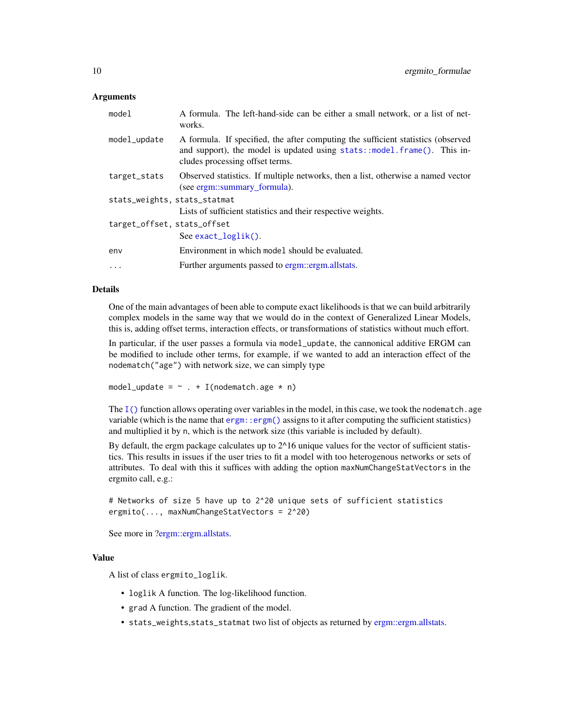#### <span id="page-9-0"></span>Arguments

| model                        | A formula. The left-hand-side can be either a small network, or a list of net-<br>works.                                                                                                       |
|------------------------------|------------------------------------------------------------------------------------------------------------------------------------------------------------------------------------------------|
| model_update                 | A formula. If specified, the after computing the sufficient statistics (observed<br>and support), the model is updated using stats::model.frame(). This in-<br>cludes processing offset terms. |
| target_stats                 | Observed statistics. If multiple networks, then a list, otherwise a named vector<br>(see ergm::summary_formula).                                                                               |
| stats_weights, stats_statmat |                                                                                                                                                                                                |
|                              | Lists of sufficient statistics and their respective weights.                                                                                                                                   |
| target_offset, stats_offset  |                                                                                                                                                                                                |
|                              | $See exact_loglik()$ .                                                                                                                                                                         |
| env                          | Environment in which model should be evaluated.                                                                                                                                                |
| $\ddots$ .                   | Further arguments passed to ergm::ergm.allstats.                                                                                                                                               |

#### Details

One of the main advantages of been able to compute exact likelihoods is that we can build arbitrarily complex models in the same way that we would do in the context of Generalized Linear Models, this is, adding offset terms, interaction effects, or transformations of statistics without much effort.

In particular, if the user passes a formula via model\_update, the cannonical additive ERGM can be modified to include other terms, for example, if we wanted to add an interaction effect of the nodematch("age") with network size, we can simply type

```
model_update = \sim . + I(nodematch.age * n)
```
The  $I(\cdot)$  function allows operating over variables in the model, in this case, we took the nodematch. age variable (which is the name that [ergm::ergm\(\)](#page-0-0) assigns to it after computing the sufficient statistics) and multiplied it by n, which is the network size (this variable is included by default).

By default, the ergm package calculates up to  $2^{\wedge}16$  unique values for the vector of sufficient statistics. This results in issues if the user tries to fit a model with too heterogenous networks or sets of attributes. To deal with this it suffices with adding the option maxNumChangeStatVectors in the ergmito call, e.g.:

```
# Networks of size 5 have up to 2^20 unique sets of sufficient statistics
ergmito(..., maxNumChangeStatVectors = 2^20)
```
See more in [?ergm::ergm.allstats.](#page-0-0)

#### Value

A list of class ergmito\_loglik.

- loglik A function. The log-likelihood function.
- grad A function. The gradient of the model.
- stats\_weights,stats\_statmat two list of objects as returned by [ergm::ergm.allstats.](#page-0-0)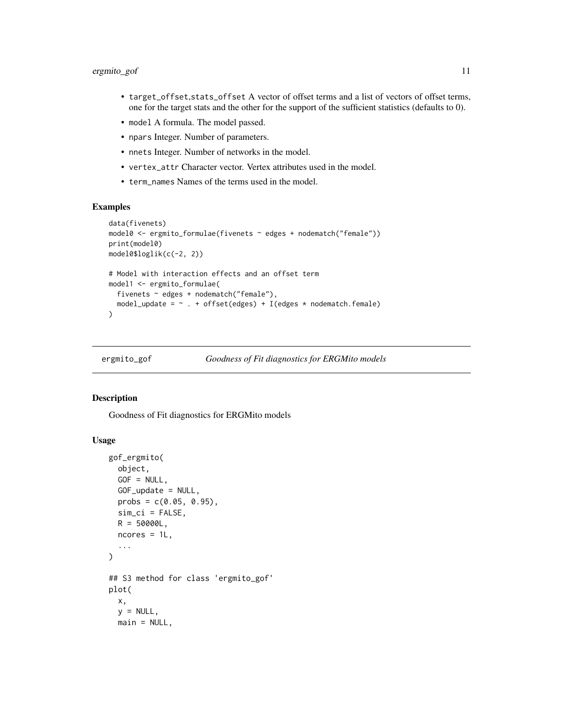#### <span id="page-10-0"></span>ergmito\_gof 11

- target\_offset,stats\_offset A vector of offset terms and a list of vectors of offset terms, one for the target stats and the other for the support of the sufficient statistics (defaults to 0).
- model A formula. The model passed.
- npars Integer. Number of parameters.
- nnets Integer. Number of networks in the model.
- vertex\_attr Character vector. Vertex attributes used in the model.
- term\_names Names of the terms used in the model.

#### Examples

```
data(fivenets)
model0 <- ergmito_formulae(fivenets ~ edges + nodematch("female"))
print(model0)
model0$loglik(c(-2, 2))
# Model with interaction effects and an offset term
model1 <- ergmito_formulae(
  fivenets ~ edges + nodematch("female"),
  model_update = \sim . + offset(edges) + I(edges * nodematch.female)
)
```

```
ergmito_gof Goodness of Fit diagnostics for ERGMito models
```
#### <span id="page-10-1"></span>Description

Goodness of Fit diagnostics for ERGMito models

#### Usage

```
gof_ergmito(
 object,
  GOF = NULL,GOF_update = NULL,
 probs = c(0.05, 0.95),
 sim\_ci = FALSE,
 R = 50000L,ncores = 1L,
  ...
\lambda## S3 method for class 'ergmito_gof'
plot(
  x,
 y = NULL,main = NULL,
```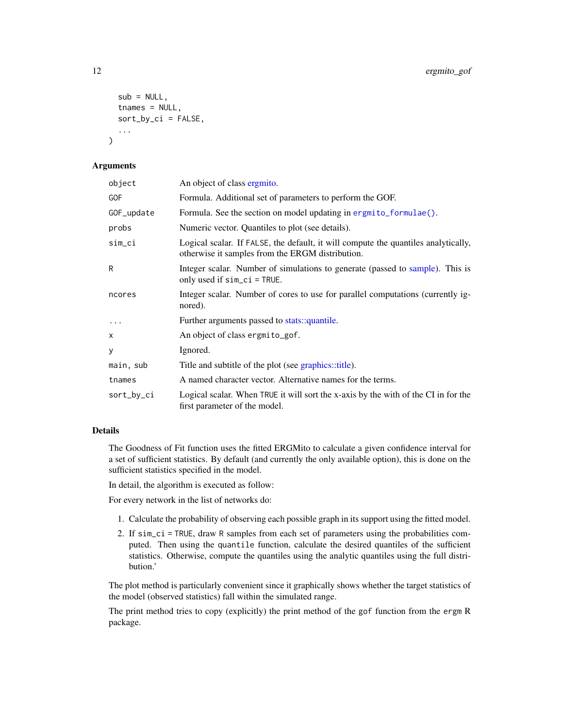```
sub = NULL,tnames = NULL,
  sort_by_ci = FALSE,
  ...
)
```
#### Arguments

| object     | An object of class ergmito.                                                                                                            |
|------------|----------------------------------------------------------------------------------------------------------------------------------------|
| GOF        | Formula. Additional set of parameters to perform the GOF.                                                                              |
| GOF_update | Formula. See the section on model updating in ergmito_formulae().                                                                      |
| probs      | Numeric vector. Quantiles to plot (see details).                                                                                       |
| sim_ci     | Logical scalar. If FALSE, the default, it will compute the quantiles analytically,<br>otherwise it samples from the ERGM distribution. |
| R          | Integer scalar. Number of simulations to generate (passed to sample). This is<br>only used if $sim_c$ = TRUE.                          |
| ncores     | Integer scalar. Number of cores to use for parallel computations (currently ig-<br>nored).                                             |
| $\ddots$   | Further arguments passed to stats::quantile.                                                                                           |
| X          | An object of class ergmito_gof.                                                                                                        |
| У          | Ignored.                                                                                                                               |
| main, sub  | Title and subtitle of the plot (see graphics::title).                                                                                  |
| tnames     | A named character vector. Alternative names for the terms.                                                                             |
| sort_by_ci | Logical scalar. When TRUE it will sort the x-axis by the with of the CI in for the<br>first parameter of the model.                    |

#### Details

The Goodness of Fit function uses the fitted ERGMito to calculate a given confidence interval for a set of sufficient statistics. By default (and currently the only available option), this is done on the sufficient statistics specified in the model.

In detail, the algorithm is executed as follow:

For every network in the list of networks do:

- 1. Calculate the probability of observing each possible graph in its support using the fitted model.
- 2. If sim\_ci = TRUE, draw R samples from each set of parameters using the probabilities computed. Then using the quantile function, calculate the desired quantiles of the sufficient statistics. Otherwise, compute the quantiles using the analytic quantiles using the full distribution.'

The plot method is particularly convenient since it graphically shows whether the target statistics of the model (observed statistics) fall within the simulated range.

The print method tries to copy (explicitly) the print method of the gof function from the ergm R package.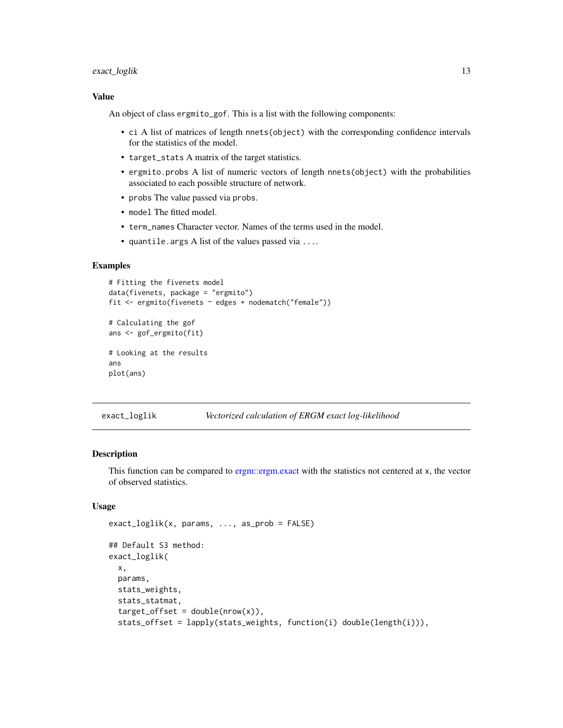#### <span id="page-12-0"></span>exact\_loglik 13

#### Value

An object of class ergmito\_gof. This is a list with the following components:

- ci A list of matrices of length nnets(object) with the corresponding confidence intervals for the statistics of the model.
- target\_stats A matrix of the target statistics.
- ergmito.probs A list of numeric vectors of length nnets(object) with the probabilities associated to each possible structure of network.
- probs The value passed via probs.
- model The fitted model.
- term\_names Character vector. Names of the terms used in the model.
- quantile.args A list of the values passed via ....

#### Examples

```
# Fitting the fivenets model
data(fivenets, package = "ergmito")
fit <- ergmito(fivenets ~ edges + nodematch("female"))
# Calculating the gof
ans <- gof_ergmito(fit)
# Looking at the results
ans
plot(ans)
```
<span id="page-12-1"></span>exact\_loglik *Vectorized calculation of ERGM exact log-likelihood*

#### <span id="page-12-2"></span>Description

This function can be compared to [ergm::ergm.exact](#page-0-0) with the statistics not centered at x, the vector of observed statistics.

#### Usage

```
exact_loglik(x, params, ..., as_prob = FALSE)
## Default S3 method:
exact_loglik(
 x,
 params,
 stats_weights,
  stats_statmat,
  target_offset = double(nrow(x)),stats_offset = lapply(stats_weights, function(i) double(length(i))),
```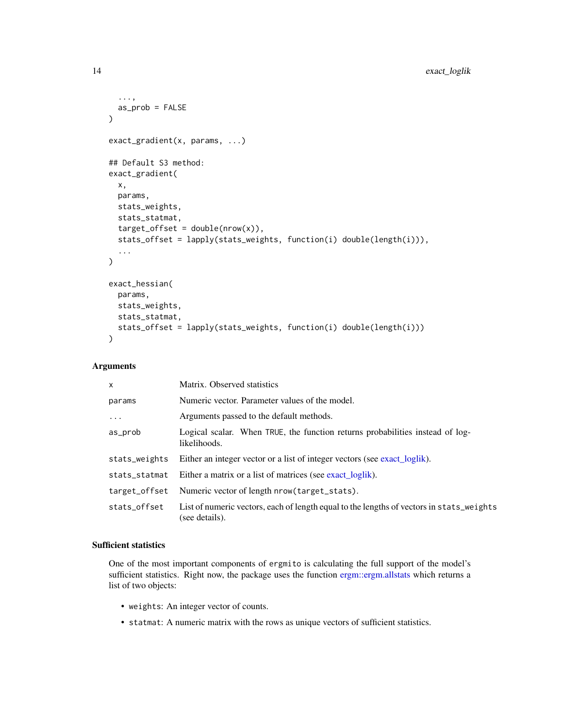```
...,
 as_prob = FALSE
\lambdaexact_gradient(x, params, ...)
## Default S3 method:
exact_gradient(
 x,
 params,
 stats_weights,
 stats_statmat,
  target_offset = double(nrow(x)),stats_offset = lapply(stats_weights, function(i) double(length(i))),
  ...
)
exact_hessian(
 params,
 stats_weights,
 stats_statmat,
  stats_offset = lapply(stats_weights, function(i) double(length(i)))
)
```
#### Arguments

| $\mathsf{x}$  | Matrix. Observed statistics                                                                                |
|---------------|------------------------------------------------------------------------------------------------------------|
| params        | Numeric vector. Parameter values of the model.                                                             |
| $\cdots$      | Arguments passed to the default methods.                                                                   |
| as_prob       | Logical scalar. When TRUE, the function returns probabilities instead of log-<br>likelihoods.              |
| stats_weights | Either an integer vector or a list of integer vectors (see exact_loglik).                                  |
| stats_statmat | Either a matrix or a list of matrices (see exact_loglik).                                                  |
| target_offset | Numeric vector of length nrow (target_stats).                                                              |
| stats_offset  | List of numeric vectors, each of length equal to the lengths of vectors in stats_weights<br>(see details). |

#### Sufficient statistics

One of the most important components of ergmito is calculating the full support of the model's sufficient statistics. Right now, the package uses the function [ergm::ergm.allstats](#page-0-0) which returns a list of two objects:

- weights: An integer vector of counts.
- statmat: A numeric matrix with the rows as unique vectors of sufficient statistics.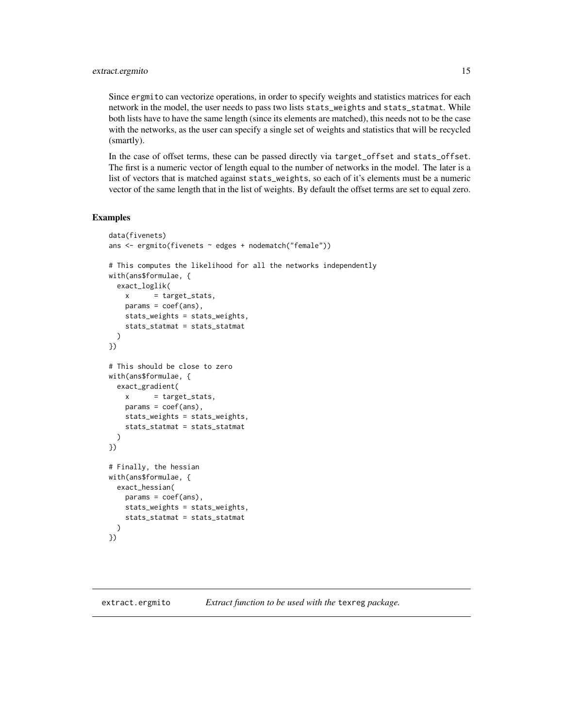#### <span id="page-14-0"></span>extract.ergmito 15

Since ergmito can vectorize operations, in order to specify weights and statistics matrices for each network in the model, the user needs to pass two lists stats\_weights and stats\_statmat. While both lists have to have the same length (since its elements are matched), this needs not to be the case with the networks, as the user can specify a single set of weights and statistics that will be recycled (smartly).

In the case of offset terms, these can be passed directly via target\_offset and stats\_offset. The first is a numeric vector of length equal to the number of networks in the model. The later is a list of vectors that is matched against stats\_weights, so each of it's elements must be a numeric vector of the same length that in the list of weights. By default the offset terms are set to equal zero.

```
data(fivenets)
ans <- ergmito(fivenets ~ edges + nodematch("female"))
# This computes the likelihood for all the networks independently
with(ans$formulae, {
 exact_loglik(
   x = target\_stats,
   params = coef(ans),
   stats_weights = stats_weights,
    stats_statmat = stats_statmat
 )
})
# This should be close to zero
with(ans$formulae, {
 exact_gradient(
   x = target\_stats,
   params = coef(ans),
   stats_weights = stats_weights,
    stats_statmat = stats_statmat
 )
})
# Finally, the hessian
with(ans$formulae, {
 exact_hessian(
   params = coef(ans),
   stats_weights = stats_weights,
   stats_statmat = stats_statmat
 )
})
```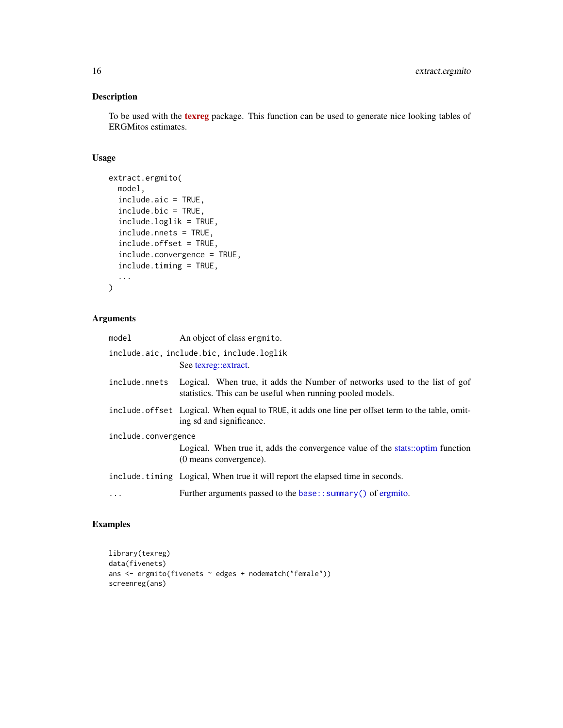#### Description

To be used with the [texreg](https://CRAN.R-project.org/package=texreg) package. This function can be used to generate nice looking tables of ERGMitos estimates.

#### Usage

```
extract.ergmito(
 model,
  include.aic = TRUE,
  include.bic = TRUE,
  include.loglik = TRUE,
  include.nnets = TRUE,
  include.offset = TRUE,
  include.convergence = TRUE,
  include.timing = TRUE,
  ...
\mathcal{L}
```
### Arguments

| model               | An object of class ergmito.                                                                                                              |  |
|---------------------|------------------------------------------------------------------------------------------------------------------------------------------|--|
|                     | include.aic, include.bic, include.loglik                                                                                                 |  |
|                     | See texreg::extract.                                                                                                                     |  |
| include.nnets       | Logical. When true, it adds the Number of networks used to the list of gof<br>statistics. This can be useful when running pooled models. |  |
|                     | include. of fset Logical. When equal to TRUE, it adds one line per offset term to the table, omit-<br>ing sd and significance.           |  |
| include.convergence |                                                                                                                                          |  |
|                     | Logical. When true it, adds the convergence value of the stats::optim function<br>(0 means convergence).                                 |  |
|                     | include. timing Logical, When true it will report the elapsed time in seconds.                                                           |  |
| $\ddots$            | Further arguments passed to the base:: summary () of ergmito.                                                                            |  |

```
library(texreg)
data(fivenets)
ans <- ergmito(fivenets ~ edges + nodematch("female"))
screenreg(ans)
```
<span id="page-15-0"></span>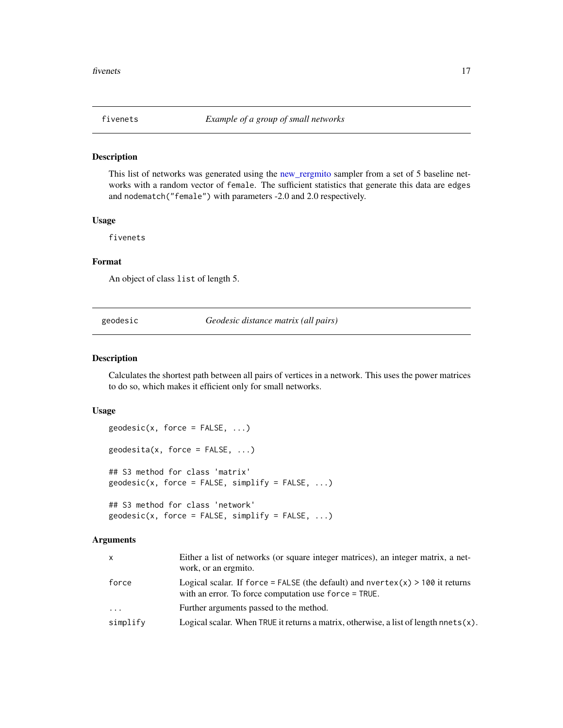<span id="page-16-0"></span>

#### Description

This list of networks was generated using the [new\\_rergmito](#page-20-1) sampler from a set of 5 baseline networks with a random vector of female. The sufficient statistics that generate this data are edges and nodematch("female") with parameters -2.0 and 2.0 respectively.

#### Usage

fivenets

#### Format

An object of class list of length 5.

geodesic *Geodesic distance matrix (all pairs)*

#### Description

Calculates the shortest path between all pairs of vertices in a network. This uses the power matrices to do so, which makes it efficient only for small networks.

#### Usage

```
geodesic(x, force = FALSE, ...)geodesita(x, force = FALSE, ...)## S3 method for class 'matrix'
geodesic(x, force = FALSE, simplify = FALSE, ...)## S3 method for class 'network'
```
 $geodesic(x, force = FALSE, simplify = FALSE, ...)$ 

#### Arguments

| $\mathsf{x}$ | Either a list of networks (or square integer matrices), an integer matrix, a net-<br>work, or an ergmito.                               |
|--------------|-----------------------------------------------------------------------------------------------------------------------------------------|
| force        | Logical scalar. If force = FALSE (the default) and nvertex(x) > 100 it returns<br>with an error. To force computation use force = TRUE. |
| .            | Further arguments passed to the method.                                                                                                 |
| simplify     | Logical scalar. When TRUE it returns a matrix, otherwise, a list of length nnets $(x)$ .                                                |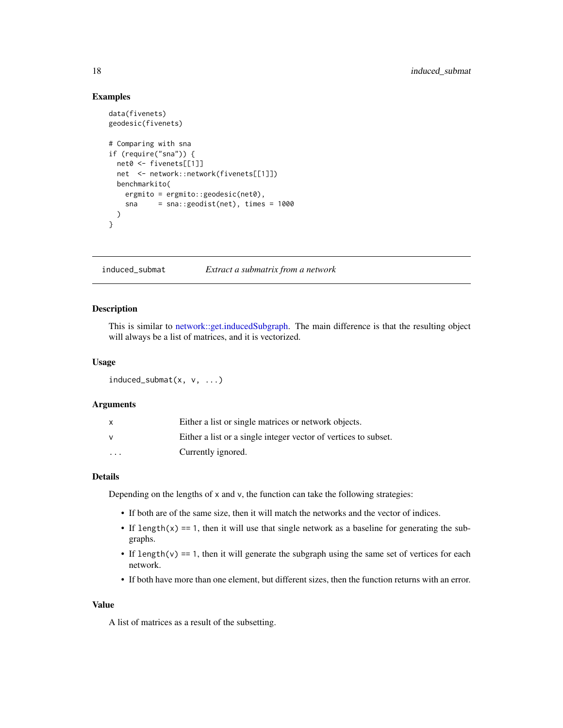#### <span id="page-17-0"></span>Examples

```
data(fivenets)
geodesic(fivenets)
# Comparing with sna
if (require("sna")) {
 net0 <- fivenets[[1]]
 net <- network::network(fivenets[[1]])
 benchmarkito(
   ergmito = ergmito:: geodesic(net0),
   sna = sna::geodist(net), times = 1000
 )
}
```
induced\_submat *Extract a submatrix from a network*

#### Description

This is similar to [network::get.inducedSubgraph.](#page-0-0) The main difference is that the resulting object will always be a list of matrices, and it is vectorized.

#### Usage

```
induced\_submat(x, v, \ldots)
```
#### **Arguments**

|                         | Either a list or single matrices or network objects.            |
|-------------------------|-----------------------------------------------------------------|
|                         | Either a list or a single integer vector of vertices to subset. |
| $\cdot$ $\cdot$ $\cdot$ | Currently ignored.                                              |

#### Details

Depending on the lengths of x and v, the function can take the following strategies:

- If both are of the same size, then it will match the networks and the vector of indices.
- If length(x) == 1, then it will use that single network as a baseline for generating the subgraphs.
- If length(v)  $== 1$ , then it will generate the subgraph using the same set of vertices for each network.
- If both have more than one element, but different sizes, then the function returns with an error.

#### Value

A list of matrices as a result of the subsetting.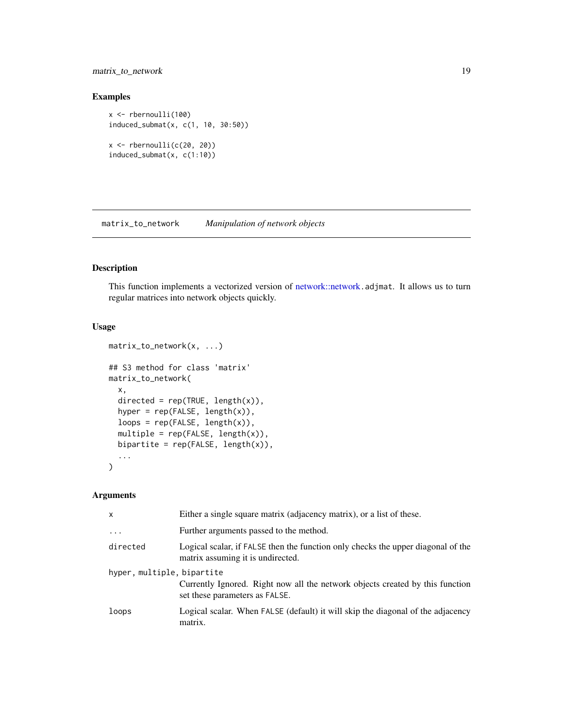#### <span id="page-18-0"></span>matrix\_to\_network 19

#### Examples

```
x <- rbernoulli(100)
induced_submat(x, c(1, 10, 30:50))
x \leftarrow rbernoulli(c(20, 20))induced_submat(x, c(1:10))
```
matrix\_to\_network *Manipulation of network objects*

### Description

This function implements a vectorized version of [network::network](#page-0-0).adjmat. It allows us to turn regular matrices into network objects quickly.

#### Usage

```
matrix_to_network(x, ...)
## S3 method for class 'matrix'
matrix_to_network(
 x,
 directed = rep(TRUE, length(x)),hyper = rep(FALSE, length(x)),loops = rep(FALSE, length(x)),
 multiple = rep(FALSE, length(x)),bipartite = rep(FALE, length(x)),...
)
```
#### Arguments

| X                          | Either a single square matrix (adjacency matrix), or a list of these.                                                 |
|----------------------------|-----------------------------------------------------------------------------------------------------------------------|
| $\ddotsc$                  | Further arguments passed to the method.                                                                               |
| directed                   | Logical scalar, if FALSE then the function only checks the upper diagonal of the<br>matrix assuming it is undirected. |
| hyper, multiple, bipartite | Currently Ignored. Right now all the network objects created by this function<br>set these parameters as FALSE.       |
| loops                      | Logical scalar. When FALSE (default) it will skip the diagonal of the adjacency<br>matrix.                            |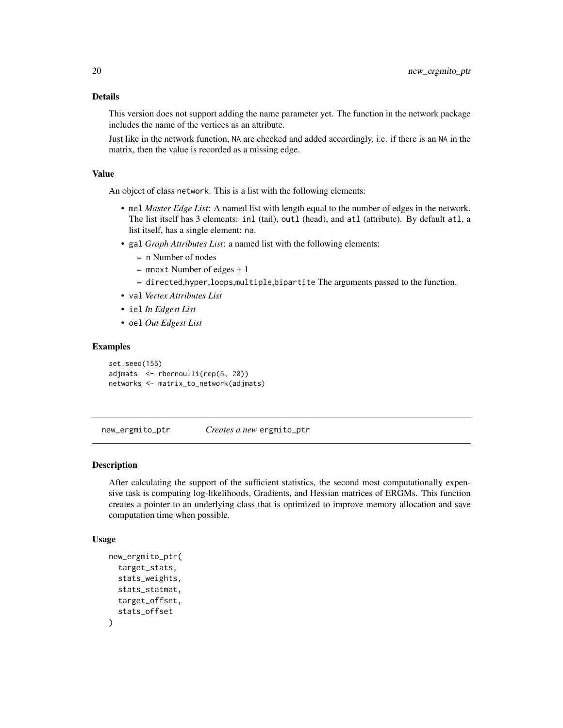#### <span id="page-19-0"></span>Details

This version does not support adding the name parameter yet. The function in the network package includes the name of the vertices as an attribute.

Just like in the network function, NA are checked and added accordingly, i.e. if there is an NA in the matrix, then the value is recorded as a missing edge.

#### Value

An object of class network. This is a list with the following elements:

- mel *Master Edge List*: A named list with length equal to the number of edges in the network. The list itself has 3 elements: inl (tail), outl (head), and atl (attribute). By default atl, a list itself, has a single element: na.
- gal *Graph Attributes List*: a named list with the following elements:
	- n Number of nodes
	- mnext Number of edges + 1
	- directed,hyper,loops,multiple,bipartite The arguments passed to the function.
- val *Vertex Attributes List*
- iel *In Edgest List*
- oel *Out Edgest List*

#### Examples

```
set.seed(155)
adjmats <- rbernoulli(rep(5, 20))
networks <- matrix_to_network(adjmats)
```
new\_ergmito\_ptr *Creates a new* ergmito\_ptr

#### Description

After calculating the support of the sufficient statistics, the second most computationally expensive task is computing log-likelihoods, Gradients, and Hessian matrices of ERGMs. This function creates a pointer to an underlying class that is optimized to improve memory allocation and save computation time when possible.

#### Usage

```
new_ergmito_ptr(
  target_stats,
  stats_weights,
  stats_statmat,
  target_offset,
  stats_offset
)
```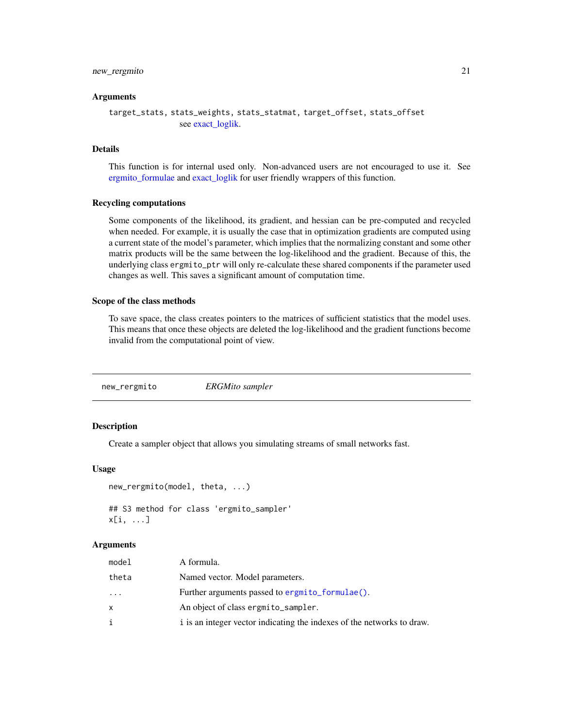#### <span id="page-20-0"></span>new\_rergmito 21

#### Arguments

```
target_stats, stats_weights, stats_statmat, target_offset, stats_offset
                see exact_loglik.
```
#### Details

This function is for internal used only. Non-advanced users are not encouraged to use it. See [ergmito\\_formulae](#page-8-1) and [exact\\_loglik](#page-12-1) for user friendly wrappers of this function.

#### Recycling computations

Some components of the likelihood, its gradient, and hessian can be pre-computed and recycled when needed. For example, it is usually the case that in optimization gradients are computed using a current state of the model's parameter, which implies that the normalizing constant and some other matrix products will be the same between the log-likelihood and the gradient. Because of this, the underlying class ergmito\_ptr will only re-calculate these shared components if the parameter used changes as well. This saves a significant amount of computation time.

#### Scope of the class methods

To save space, the class creates pointers to the matrices of sufficient statistics that the model uses. This means that once these objects are deleted the log-likelihood and the gradient functions become invalid from the computational point of view.

<span id="page-20-1"></span>new\_rergmito *ERGMito sampler*

#### Description

Create a sampler object that allows you simulating streams of small networks fast.

#### Usage

```
new_rergmito(model, theta, ...)
## S3 method for class 'ergmito_sampler'
x[i, ...]
```
#### Arguments

| model | A formula.                                                             |
|-------|------------------------------------------------------------------------|
| theta | Named vector. Model parameters.                                        |
| .     | Further arguments passed to ergmito formulae().                        |
|       | An object of class ergmito_sampler.                                    |
|       | i is an integer vector indicating the indexes of the networks to draw. |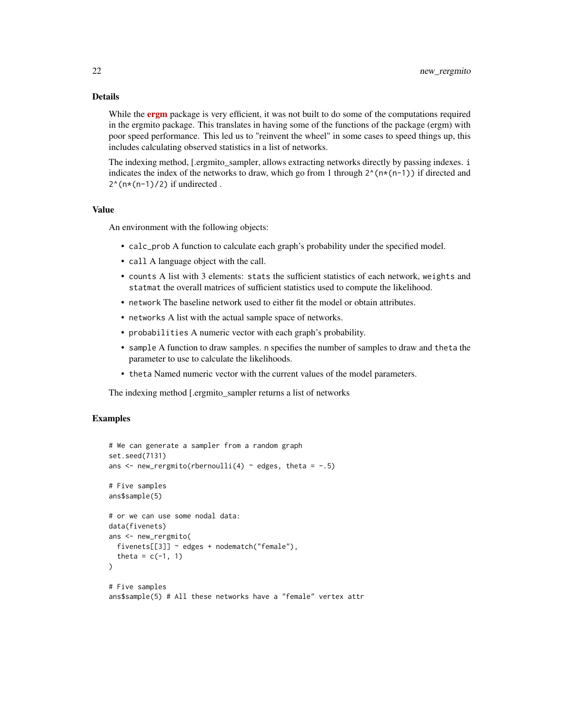#### Details

While the **[ergm](https://CRAN.R-project.org/package=ergm)** package is very efficient, it was not built to do some of the computations required in the ergmito package. This translates in having some of the functions of the package (ergm) with poor speed performance. This led us to "reinvent the wheel" in some cases to speed things up, this includes calculating observed statistics in a list of networks.

The indexing method, [.ergmito\_sampler, allows extracting networks directly by passing indexes. i indicates the index of the networks to draw, which go from 1 through  $2^{\wedge}$ (n\*(n-1)) if directed and  $2^{(n*(n-1)/2)}$  if undirected.

#### Value

An environment with the following objects:

- calc\_prob A function to calculate each graph's probability under the specified model.
- call A language object with the call.
- counts A list with 3 elements: stats the sufficient statistics of each network, weights and statmat the overall matrices of sufficient statistics used to compute the likelihood.
- network The baseline network used to either fit the model or obtain attributes.
- networks A list with the actual sample space of networks.
- probabilities A numeric vector with each graph's probability.
- sample A function to draw samples. n specifies the number of samples to draw and theta the parameter to use to calculate the likelihoods.
- theta Named numeric vector with the current values of the model parameters.

The indexing method [.ergmito\_sampler returns a list of networks

```
# We can generate a sampler from a random graph
set.seed(7131)
ans \leq new_rergmito(rbernoulli(4) \sim edges, theta = -.5)
# Five samples
ans$sample(5)
# or we can use some nodal data:
data(fivenets)
ans <- new_rergmito(
 fivenets[[3]] ~ edges + nodematch("female"),
 theta = c(-1, 1)\lambda# Five samples
ans$sample(5) # All these networks have a "female" vertex attr
```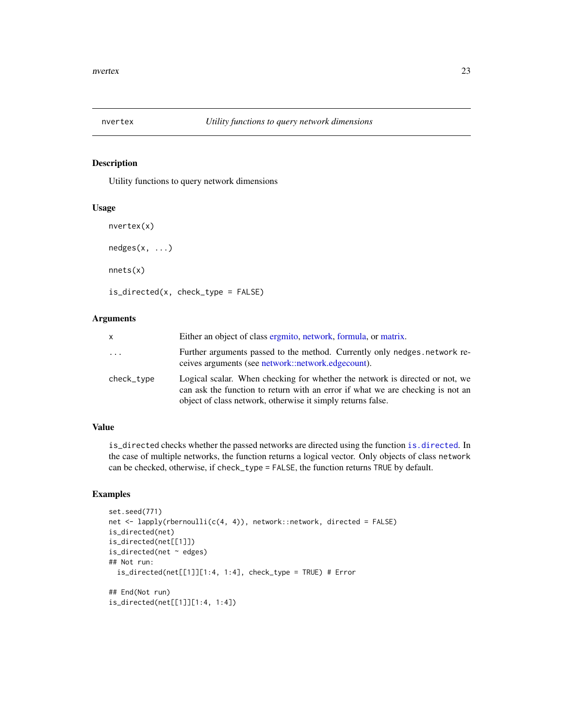<span id="page-22-0"></span>

#### Description

Utility functions to query network dimensions

#### Usage

```
nvertex(x)
nedges(x, ...)
nnets(x)
is_directed(x, check_type = FALSE)
```
#### Arguments

| x          | Either an object of class ergmito, network, formula, or matrix.                                                                                                                                                               |
|------------|-------------------------------------------------------------------------------------------------------------------------------------------------------------------------------------------------------------------------------|
| $\ddots$   | Further arguments passed to the method. Currently only nedges, network re-<br>ceives arguments (see network::network.edgecount).                                                                                              |
| check_type | Logical scalar. When checking for whether the network is directed or not, we<br>can ask the function to return with an error if what we are checking is not an<br>object of class network, otherwise it simply returns false. |

#### Value

is\_directed checks whether the passed networks are directed using the function [is.directed](#page-0-0). In the case of multiple networks, the function returns a logical vector. Only objects of class network can be checked, otherwise, if check\_type = FALSE, the function returns TRUE by default.

```
set.seed(771)
net <- lapply(rbernoulli(c(4, 4)), network::network, directed = FALSE)
is_directed(net)
is_directed(net[[1]])
is_directed(net ~\sim edges)
## Not run:
  is_directed(net[[1]][1:4, 1:4], check_type = TRUE) # Error
## End(Not run)
is_directed(net[[1]][1:4, 1:4])
```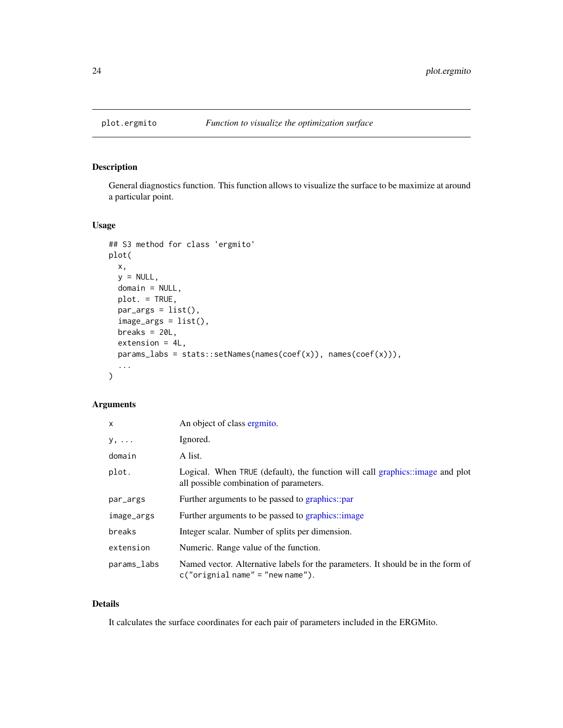<span id="page-23-1"></span><span id="page-23-0"></span>

#### Description

General diagnostics function. This function allows to visualize the surface to be maximize at around a particular point.

#### Usage

```
## S3 method for class 'ergmito'
plot(
 x,
 y = NULL,domain = NULL,
 plot. = TRUE,
 par_{args} = list(),
  image_{args} = list(),
 breaks = 20L,
 extension = 4L,
 params_labs = stats::setNames(names(coef(x)), names(coef(x))),
  ...
)
```
#### Arguments

| $\mathsf{x}$ | An object of class ergmito.                                                                                              |
|--------------|--------------------------------------------------------------------------------------------------------------------------|
| $y, \ldots$  | Ignored.                                                                                                                 |
| domain       | A list.                                                                                                                  |
| plot.        | Logical. When TRUE (default), the function will call graphics::image and plot<br>all possible combination of parameters. |
| par_args     | Further arguments to be passed to graphics::par                                                                          |
| image_args   | Further arguments to be passed to graphics::image                                                                        |
| breaks       | Integer scalar. Number of splits per dimension.                                                                          |
| extension    | Numeric. Range value of the function.                                                                                    |
| params_labs  | Named vector. Alternative labels for the parameters. It should be in the form of<br>$c("original name" = "new name").$   |

#### Details

It calculates the surface coordinates for each pair of parameters included in the ERGMito.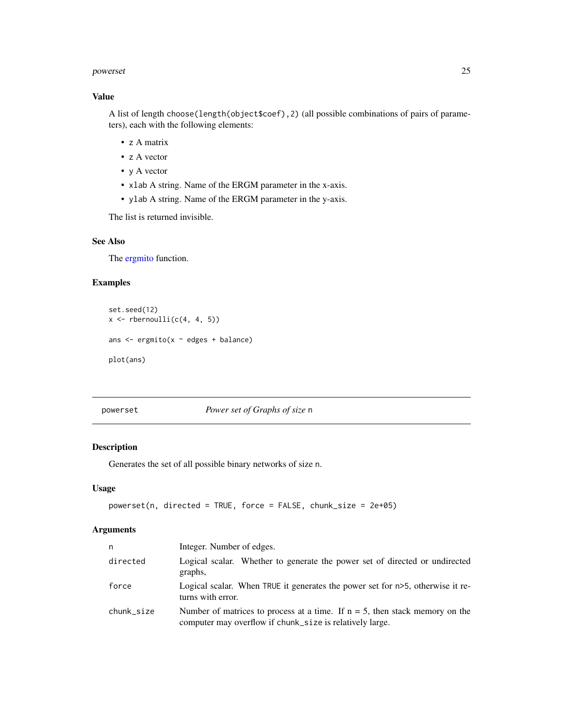#### <span id="page-24-0"></span>powerset 25

#### Value

A list of length choose(length(object\$coef),2) (all possible combinations of pairs of parameters), each with the following elements:

- z A matrix
- z A vector
- y A vector
- xlab A string. Name of the ERGM parameter in the x-axis.
- ylab A string. Name of the ERGM parameter in the y-axis.

The list is returned invisible.

#### See Also

The [ergmito](#page-28-1) function.

#### Examples

```
set.seed(12)
x \leftarrow rbernoulli(c(4, 4, 5))
ans <- ergmito(x ~ edges + balance)
plot(ans)
```
powerset *Power set of Graphs of size* n

#### Description

Generates the set of all possible binary networks of size n.

#### Usage

```
powerset(n, directed = TRUE, force = FALSE, chunk_size = 2e+05)
```
#### Arguments

| n          | Integer. Number of edges.                                                                                                                  |
|------------|--------------------------------------------------------------------------------------------------------------------------------------------|
| directed   | Logical scalar. Whether to generate the power set of directed or undirected<br>graphs,                                                     |
| force      | Logical scalar. When TRUE it generates the power set for n>5, otherwise it re-<br>turns with error.                                        |
| chunk_size | Number of matrices to process at a time. If $n = 5$ , then stack memory on the<br>computer may overflow if chunk_size is relatively large. |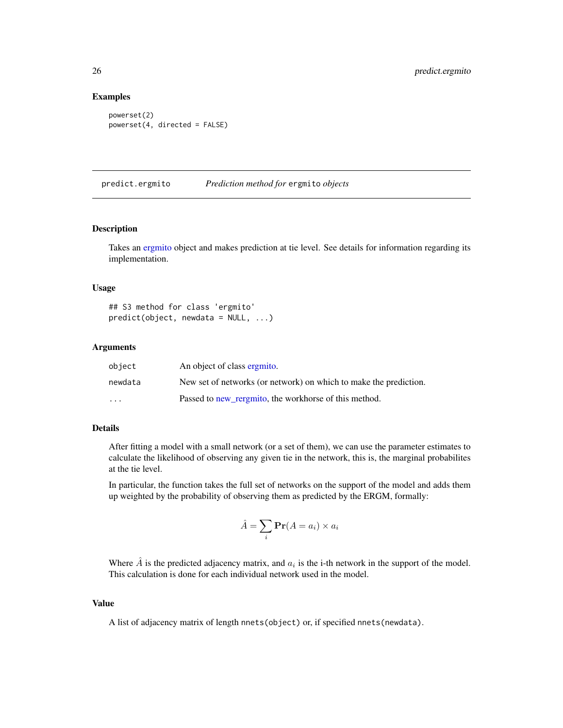#### Examples

```
powerset(2)
powerset(4, directed = FALSE)
```
predict.ergmito *Prediction method for* ergmito *objects*

#### Description

Takes an [ergmito](#page-28-1) object and makes prediction at tie level. See details for information regarding its implementation.

#### Usage

```
## S3 method for class 'ergmito'
predict(object, newdata = NULL, ...)
```
#### Arguments

| object                  | An object of class ergmito.                                       |
|-------------------------|-------------------------------------------------------------------|
| newdata                 | New set of networks (or network) on which to make the prediction. |
| $\cdot$ $\cdot$ $\cdot$ | Passed to new regnito, the workhorse of this method.              |

#### Details

After fitting a model with a small network (or a set of them), we can use the parameter estimates to calculate the likelihood of observing any given tie in the network, this is, the marginal probabilites at the tie level.

In particular, the function takes the full set of networks on the support of the model and adds them up weighted by the probability of observing them as predicted by the ERGM, formally:

$$
\hat{A} = \sum_{i} \mathbf{Pr}(A = a_i) \times a_i
$$

Where  $\hat{A}$  is the predicted adjacency matrix, and  $a_i$  is the i-th network in the support of the model. This calculation is done for each individual network used in the model.

#### Value

A list of adjacency matrix of length nnets(object) or, if specified nnets(newdata).

<span id="page-25-0"></span>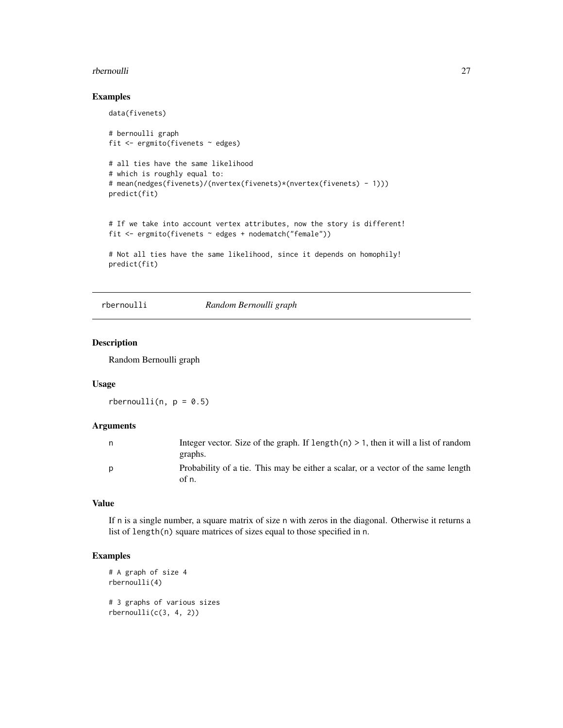#### <span id="page-26-0"></span>rbernoulli 27

#### Examples

```
data(fivenets)
# bernoulli graph
fit <- ergmito(fivenets ~ edges)
# all ties have the same likelihood
# which is roughly equal to:
# mean(nedges(fivenets)/(nvertex(fivenets)*(nvertex(fivenets) - 1)))
predict(fit)
# If we take into account vertex attributes, now the story is different!
fit <- ergmito(fivenets ~ edges + nodematch("female"))
# Not all ties have the same likelihood, since it depends on homophily!
predict(fit)
```
rbernoulli *Random Bernoulli graph*

#### Description

Random Bernoulli graph

#### Usage

rbernoulli(n,  $p = 0.5$ )

#### Arguments

| n. | Integer vector. Size of the graph. If $l$ ength $(n) > 1$ , then it will a list of random  |
|----|--------------------------------------------------------------------------------------------|
|    | graphs.                                                                                    |
| D  | Probability of a tie. This may be either a scalar, or a vector of the same length<br>of n. |

#### Value

If n is a single number, a square matrix of size n with zeros in the diagonal. Otherwise it returns a list of length(n) square matrices of sizes equal to those specified in n.

```
# A graph of size 4
rbernoulli(4)
# 3 graphs of various sizes
rbernoulli(c(3, 4, 2))
```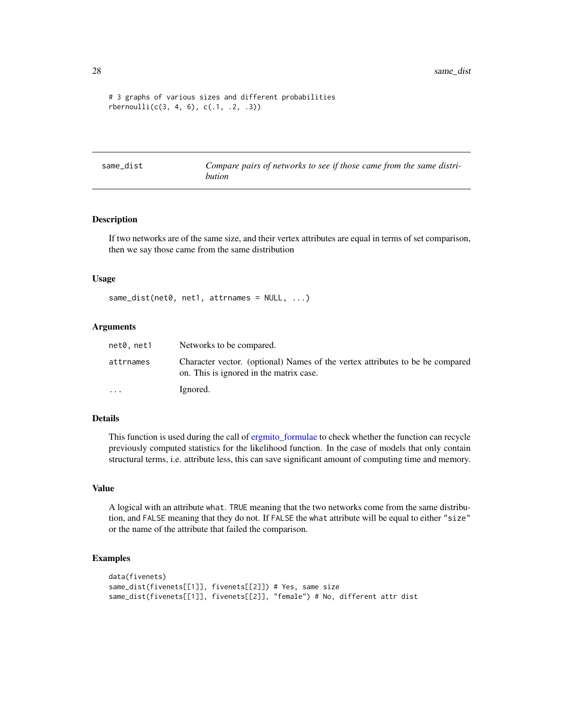```
# 3 graphs of various sizes and different probabilities
rbernoulli(c(3, 4, 6), c(.1, .2, .3))
```
same\_dist *Compare pairs of networks to see if those came from the same distribution*

#### Description

If two networks are of the same size, and their vertex attributes are equal in terms of set comparison, then we say those came from the same distribution

#### Usage

same\_dist(net0, net1, attrnames = NULL, ...)

#### Arguments

| net0, net1              | Networks to be compared.                                                                                                 |
|-------------------------|--------------------------------------------------------------------------------------------------------------------------|
| attrnames               | Character vector. (optional) Names of the vertex attributes to be be compared<br>on. This is ignored in the matrix case. |
| $\cdot$ $\cdot$ $\cdot$ | Ignored.                                                                                                                 |

#### Details

This function is used during the call of [ergmito\\_formulae](#page-8-1) to check whether the function can recycle previously computed statistics for the likelihood function. In the case of models that only contain structural terms, i.e. attribute less, this can save significant amount of computing time and memory.

#### Value

A logical with an attribute what. TRUE meaning that the two networks come from the same distribution, and FALSE meaning that they do not. If FALSE the what attribute will be equal to either "size" or the name of the attribute that failed the comparison.

```
data(fivenets)
same_dist(fivenets[[1]], fivenets[[2]]) # Yes, same size
same_dist(fivenets[[1]], fivenets[[2]], "female") # No, different attr dist
```
<span id="page-27-0"></span>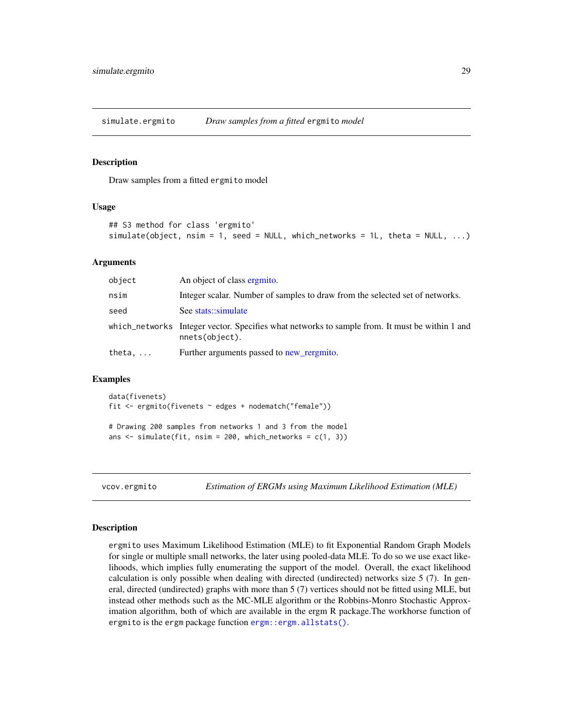<span id="page-28-0"></span>simulate.ergmito *Draw samples from a fitted* ergmito *model*

#### Description

Draw samples from a fitted ergmito model

#### Usage

```
## S3 method for class 'ergmito'
simulate(objject, nsim = 1, seed = NULL, which</u>: = 1, theta = NULL, ...)
```
#### Arguments

| object | An object of class ergmito.                                                                                      |
|--------|------------------------------------------------------------------------------------------------------------------|
| nsim   | Integer scalar. Number of samples to draw from the selected set of networks.                                     |
| seed   | See stats::simulate                                                                                              |
|        | which_networks Integer vector. Specifies what networks to sample from. It must be within 1 and<br>nnets(object). |
| theta, | Further arguments passed to new rergmito.                                                                        |

#### Examples

data(fivenets) fit <- ergmito(fivenets ~ edges + nodematch("female"))

# Drawing 200 samples from networks 1 and 3 from the model ans  $\le$  simulate(fit, nsim = 200, which\_networks =  $c(1, 3)$ )

vcov.ergmito *Estimation of ERGMs using Maximum Likelihood Estimation (MLE)*

#### <span id="page-28-1"></span>Description

ergmito uses Maximum Likelihood Estimation (MLE) to fit Exponential Random Graph Models for single or multiple small networks, the later using pooled-data MLE. To do so we use exact likelihoods, which implies fully enumerating the support of the model. Overall, the exact likelihood calculation is only possible when dealing with directed (undirected) networks size 5 (7). In general, directed (undirected) graphs with more than 5 (7) vertices should not be fitted using MLE, but instead other methods such as the MC-MLE algorithm or the Robbins-Monro Stochastic Approximation algorithm, both of which are available in the ergm R package.The workhorse function of ergmito is the ergm package function [ergm::ergm.allstats\(\)](#page-0-0).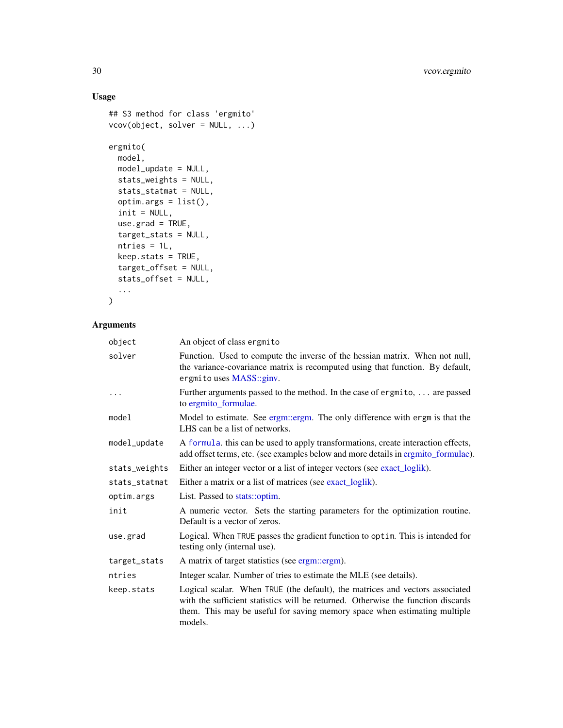#### Usage

```
## S3 method for class 'ergmito'
vcov(object, solver = NULL, ...)
ergmito(
 model,
 model_update = NULL,
 stats_weights = NULL,
 stats_statmat = NULL,
 optim.args = list(),
 init = NULL,use.grad = TRUE,target_stats = NULL,
 ntries = 1L,
 keep.stats = TRUE,
 target_offset = NULL,
 stats_offset = NULL,
  ...
```
### )

## Arguments

| object        | An object of class ergmito                                                                                                                                                                                                                               |
|---------------|----------------------------------------------------------------------------------------------------------------------------------------------------------------------------------------------------------------------------------------------------------|
| solver        | Function. Used to compute the inverse of the hessian matrix. When not null,<br>the variance-covariance matrix is recomputed using that function. By default,<br>ergmito uses MASS::ginv.                                                                 |
| $\ldots$      | Further arguments passed to the method. In the case of ergmito,  are passed<br>to ergmito_formulae.                                                                                                                                                      |
| model         | Model to estimate. See ergm::ergm. The only difference with ergm is that the<br>LHS can be a list of networks.                                                                                                                                           |
| model_update  | A formula, this can be used to apply transformations, create interaction effects,<br>add offset terms, etc. (see examples below and more details in ergmito_formulae).                                                                                   |
| stats_weights | Either an integer vector or a list of integer vectors (see exact_loglik).                                                                                                                                                                                |
| stats_statmat | Either a matrix or a list of matrices (see exact_loglik).                                                                                                                                                                                                |
| optim.args    | List. Passed to stats::optim.                                                                                                                                                                                                                            |
| init          | A numeric vector. Sets the starting parameters for the optimization routine.<br>Default is a vector of zeros.                                                                                                                                            |
| use.grad      | Logical. When TRUE passes the gradient function to optim. This is intended for<br>testing only (internal use).                                                                                                                                           |
| target_stats  | A matrix of target statistics (see ergm::ergm).                                                                                                                                                                                                          |
| ntries        | Integer scalar. Number of tries to estimate the MLE (see details).                                                                                                                                                                                       |
| keep.stats    | Logical scalar. When TRUE (the default), the matrices and vectors associated<br>with the sufficient statistics will be returned. Otherwise the function discards<br>them. This may be useful for saving memory space when estimating multiple<br>models. |

<span id="page-29-0"></span>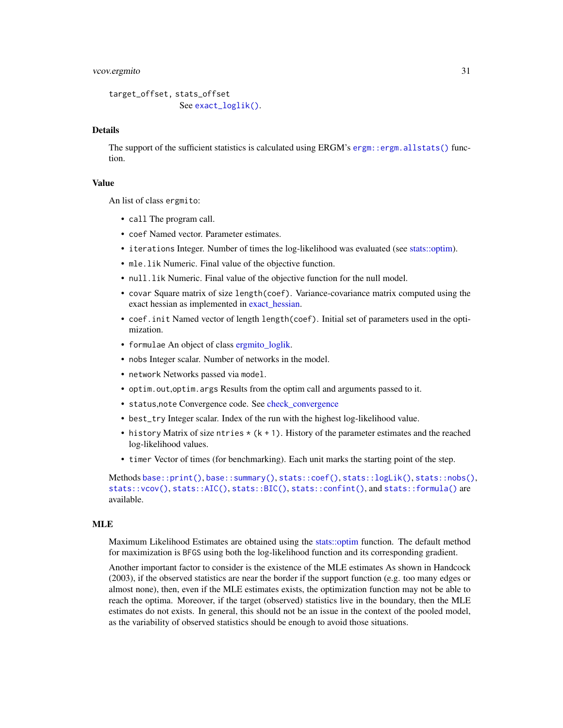#### <span id="page-30-0"></span>vcov.ergmito 31

```
target_offset, stats_offset
              exact_loglik().
```
#### Details

The support of the sufficient statistics is calculated using ERGM's [ergm::ergm.allstats\(\)](#page-0-0) function.

#### Value

An list of class ergmito:

- call The program call.
- coef Named vector. Parameter estimates.
- iterations Integer. Number of times the log-likelihood was evaluated (see [stats::optim\)](#page-0-0).
- mle.lik Numeric. Final value of the objective function.
- null.lik Numeric. Final value of the objective function for the null model.
- covar Square matrix of size length(coef). Variance-covariance matrix computed using the exact hessian as implemented in [exact\\_hessian.](#page-12-2)
- coef.init Named vector of length length(coef). Initial set of parameters used in the optimization.
- formulae An object of class [ergmito\\_loglik.](#page-8-1)
- nobs Integer scalar. Number of networks in the model.
- network Networks passed via model.
- optim.out,optim.args Results from the optim call and arguments passed to it.
- status,note Convergence code. See [check\\_convergence](#page-4-1)
- best\_try Integer scalar. Index of the run with the highest log-likelihood value.
- history Matrix of size ntries  $*(k + 1)$ . History of the parameter estimates and the reached log-likelihood values.
- timer Vector of times (for benchmarking). Each unit marks the starting point of the step.

Methods [base::print\(\)](#page-0-0), [base::summary\(\)](#page-0-0), [stats::coef\(\)](#page-0-0), [stats::logLik\(\)](#page-0-0), [stats::nobs\(\)](#page-0-0), [stats::vcov\(\)](#page-0-0), [stats::AIC\(\)](#page-0-0), [stats::BIC\(\)](#page-0-0), [stats::confint\(\)](#page-0-0), and [stats::formula\(\)](#page-0-0) are available.

#### MLE

Maximum Likelihood Estimates are obtained using the [stats::optim](#page-0-0) function. The default method for maximization is BFGS using both the log-likelihood function and its corresponding gradient.

Another important factor to consider is the existence of the MLE estimates As shown in Handcock (2003), if the observed statistics are near the border if the support function (e.g. too many edges or almost none), then, even if the MLE estimates exists, the optimization function may not be able to reach the optima. Moreover, if the target (observed) statistics live in the boundary, then the MLE estimates do not exists. In general, this should not be an issue in the context of the pooled model, as the variability of observed statistics should be enough to avoid those situations.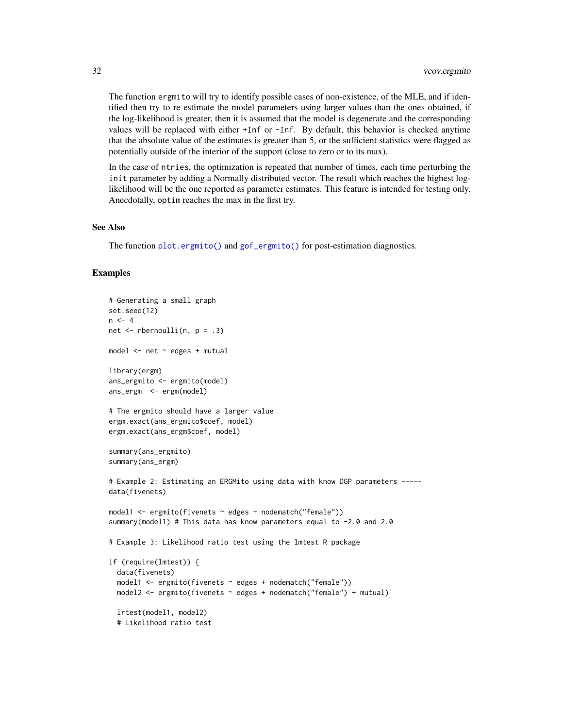<span id="page-31-0"></span>The function ergmito will try to identify possible cases of non-existence, of the MLE, and if identified then try to re estimate the model parameters using larger values than the ones obtained, if the log-likelihood is greater, then it is assumed that the model is degenerate and the corresponding values will be replaced with either +Inf or -Inf. By default, this behavior is checked anytime that the absolute value of the estimates is greater than 5, or the sufficient statistics were flagged as potentially outside of the interior of the support (close to zero or to its max).

In the case of ntries, the optimization is repeated that number of times, each time perturbing the init parameter by adding a Normally distributed vector. The result which reaches the highest loglikelihood will be the one reported as parameter estimates. This feature is intended for testing only. Anecdotally, optim reaches the max in the first try.

#### See Also

The function [plot.ergmito\(\)](#page-23-1) and [gof\\_ergmito\(\)](#page-10-1) for post-estimation diagnostics.

```
# Generating a small graph
set.seed(12)
n < -4net \leq- rbernoulli(n, p = .3)
model \leq net \sim edges + mutual
library(ergm)
ans_ergmito <- ergmito(model)
ans_ergm <- ergm(model)
# The ergmito should have a larger value
ergm.exact(ans_ergmito$coef, model)
ergm.exact(ans_ergm$coef, model)
summary(ans_ergmito)
summary(ans_ergm)
# Example 2: Estimating an ERGMito using data with know DGP parameters -----
data(fivenets)
model1 <- ergmito(fivenets ~ edges + nodematch("female"))
summary(model1) # This data has know parameters equal to -2.0 and 2.0
# Example 3: Likelihood ratio test using the lmtest R package
if (require(lmtest)) {
  data(fivenets)
  model1 <- ergmito(fivenets ~ edges + nodematch("female"))
  model2 <- ergmito(fivenets ~ edges + nodematch("female") + mutual)
  lrtest(model1, model2)
  # Likelihood ratio test
```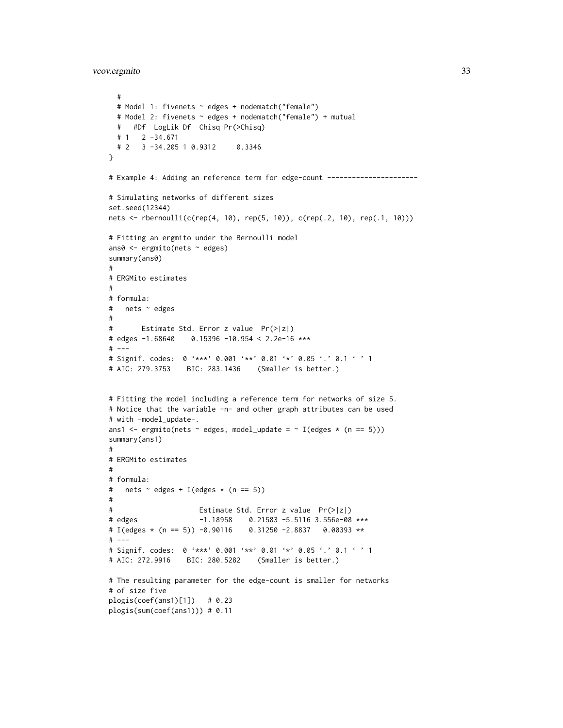vcov.ergmito 33

```
#
 # Model 1: fivenets ~ edges + nodematch("female")
 # Model 2: fivenets ~ edges + nodematch("female") + mutual
 # #Df LogLik Df Chisq Pr(>Chisq)
 # 1 2 -34.671
 # 2 3 -34.205 1 0.9312 0.3346
}
# Example 4: Adding an reference term for edge-count ----------------------
# Simulating networks of different sizes
set.seed(12344)
nets <- rbernoulli(c(rep(4, 10), rep(5, 10)), c(rep(.2, 10), rep(.1, 10)))
# Fitting an ergmito under the Bernoulli model
ans0 <- ergmito(nets ~ edges)
summary(ans0)
#
# ERGMito estimates
#
# formula:
# nets ~ edges
#
# Estimate Std. Error z value Pr(>|z|)
# edges -1.68640 0.15396 -10.954 < 2.2e-16 ***
# ---
# Signif. codes: 0 '***' 0.001 '**' 0.01 '*' 0.05 '.' 0.1 ' ' 1
# AIC: 279.3753 BIC: 283.1436 (Smaller is better.)
# Fitting the model including a reference term for networks of size 5.
# Notice that the variable -n- and other graph attributes can be used
# with -model_update-.
ans1 <- ergmito(nets \sim edges, model_update = \sim I(edges \star (n == 5)))
summary(ans1)
#
# ERGMito estimates
#
# formula:
# nets \sim edges + I(edges \star (n == 5))
#
# Estimate Std. Error z value Pr(>|z|)
# edges -1.18958 0.21583 -5.5116 3.556e-08 ***
# I(edges * (n == 5)) -0.90116 0.31250 -2.8837 0.00393 **
# ---# Signif. codes: 0 '***' 0.001 '**' 0.01 '*' 0.05 '.' 0.1 ' ' 1
# AIC: 272.9916 BIC: 280.5282 (Smaller is better.)
# The resulting parameter for the edge-count is smaller for networks
# of size five
plogis(coef(ans1)[1]) # 0.23
plogis(sum(coef(ans1))) # 0.11
```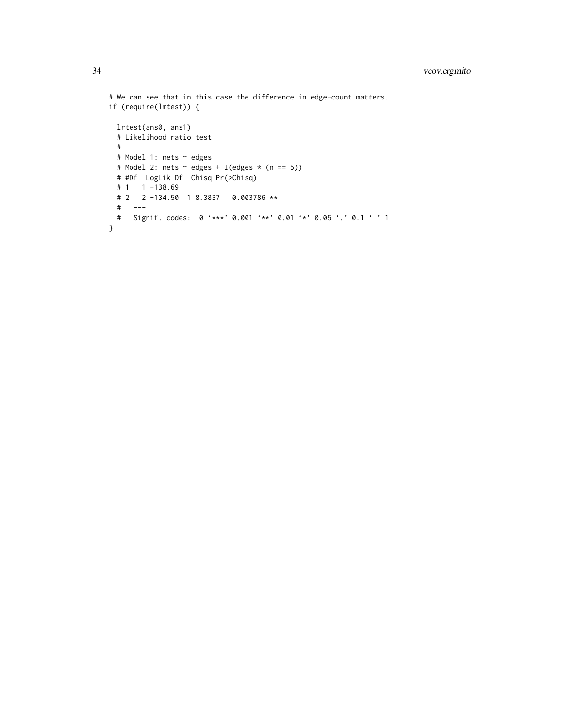```
# We can see that in this case the difference in edge-count matters.
if (require(lmtest)) {
 lrtest(ans0, ans1)
 # Likelihood ratio test
 #
 # Model 1: nets ~ edges
 # Model 2: nets \sim edges + I(edges \star (n == 5))
 # #Df LogLik Df Chisq Pr(>Chisq)
 # 1 1 -138.69# 2 2 -134.50 1 8.3837 0.003786 **
 # ---
 # Signif. codes: 0 '***' 0.001 '**' 0.01 '*' 0.05 '.' 0.1 ' ' 1
}
```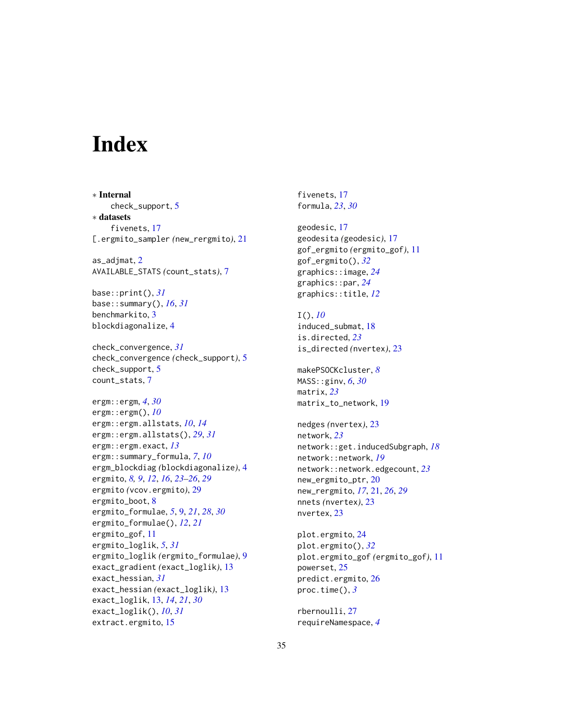# <span id="page-34-0"></span>**Index**

∗ Internal check\_support, [5](#page-4-0) ∗ datasets fivenets, [17](#page-16-0) [.ergmito\_sampler *(*new\_rergmito*)*, [21](#page-20-0) as\_adjmat, [2](#page-1-0) AVAILABLE\_STATS *(*count\_stats*)*, [7](#page-6-0) base::print(), *[31](#page-30-0)* base::summary(), *[16](#page-15-0)*, *[31](#page-30-0)* benchmarkito, [3](#page-2-0) blockdiagonalize, [4](#page-3-0) check\_convergence, *[31](#page-30-0)* check\_convergence *(*check\_support*)*, [5](#page-4-0) check\_support, [5](#page-4-0) count\_stats, [7](#page-6-0) ergm::ergm, *[4](#page-3-0)*, *[30](#page-29-0)* ergm::ergm(), *[10](#page-9-0)* ergm::ergm.allstats, *[10](#page-9-0)*, *[14](#page-13-0)* ergm::ergm.allstats(), *[29](#page-28-0)*, *[31](#page-30-0)* ergm::ergm.exact, *[13](#page-12-0)* ergm::summary\_formula, *[7](#page-6-0)*, *[10](#page-9-0)* ergm\_blockdiag *(*blockdiagonalize*)*, [4](#page-3-0) ergmito, *[8,](#page-7-0) [9](#page-8-0)*, *[12](#page-11-0)*, *[16](#page-15-0)*, *[23–](#page-22-0)[26](#page-25-0)*, *[29](#page-28-0)* ergmito *(*vcov.ergmito*)*, [29](#page-28-0) ergmito\_boot, [8](#page-7-0) ergmito\_formulae, *[5](#page-4-0)*, [9,](#page-8-0) *[21](#page-20-0)*, *[28](#page-27-0)*, *[30](#page-29-0)* ergmito\_formulae(), *[12](#page-11-0)*, *[21](#page-20-0)* ergmito\_gof, [11](#page-10-0) ergmito\_loglik, *[5](#page-4-0)*, *[31](#page-30-0)* ergmito\_loglik *(*ergmito\_formulae*)*, [9](#page-8-0) exact\_gradient *(*exact\_loglik*)*, [13](#page-12-0) exact\_hessian, *[31](#page-30-0)* exact\_hessian *(*exact\_loglik*)*, [13](#page-12-0) exact\_loglik, [13,](#page-12-0) *[14](#page-13-0)*, *[21](#page-20-0)*, *[30](#page-29-0)* exact\_loglik(), *[10](#page-9-0)*, *[31](#page-30-0)* extract.ergmito, [15](#page-14-0)

fivenets, [17](#page-16-0) formula, *[23](#page-22-0)*, *[30](#page-29-0)*

geodesic, [17](#page-16-0) geodesita *(*geodesic*)*, [17](#page-16-0) gof\_ergmito *(*ergmito\_gof*)*, [11](#page-10-0) gof\_ergmito(), *[32](#page-31-0)* graphics::image, *[24](#page-23-0)* graphics::par, *[24](#page-23-0)* graphics::title, *[12](#page-11-0)*

I(), *[10](#page-9-0)* induced\_submat, [18](#page-17-0) is.directed, *[23](#page-22-0)* is\_directed *(*nvertex*)*, [23](#page-22-0)

makePSOCKcluster, *[8](#page-7-0)* MASS::ginv, *[6](#page-5-0)*, *[30](#page-29-0)* matrix, *[23](#page-22-0)* matrix\_to\_network, [19](#page-18-0)

nedges *(*nvertex*)*, [23](#page-22-0) network, *[23](#page-22-0)* network::get.inducedSubgraph, *[18](#page-17-0)* network::network, *[19](#page-18-0)* network::network.edgecount, *[23](#page-22-0)* new\_ergmito\_ptr, [20](#page-19-0) new\_rergmito, *[17](#page-16-0)*, [21,](#page-20-0) *[26](#page-25-0)*, *[29](#page-28-0)* nnets *(*nvertex*)*, [23](#page-22-0) nvertex, [23](#page-22-0)

plot.ergmito, [24](#page-23-0) plot.ergmito(), *[32](#page-31-0)* plot.ergmito\_gof *(*ergmito\_gof*)*, [11](#page-10-0) powerset, [25](#page-24-0) predict.ergmito, [26](#page-25-0) proc.time(), *[3](#page-2-0)*

rbernoulli, [27](#page-26-0) requireNamespace, *[4](#page-3-0)*